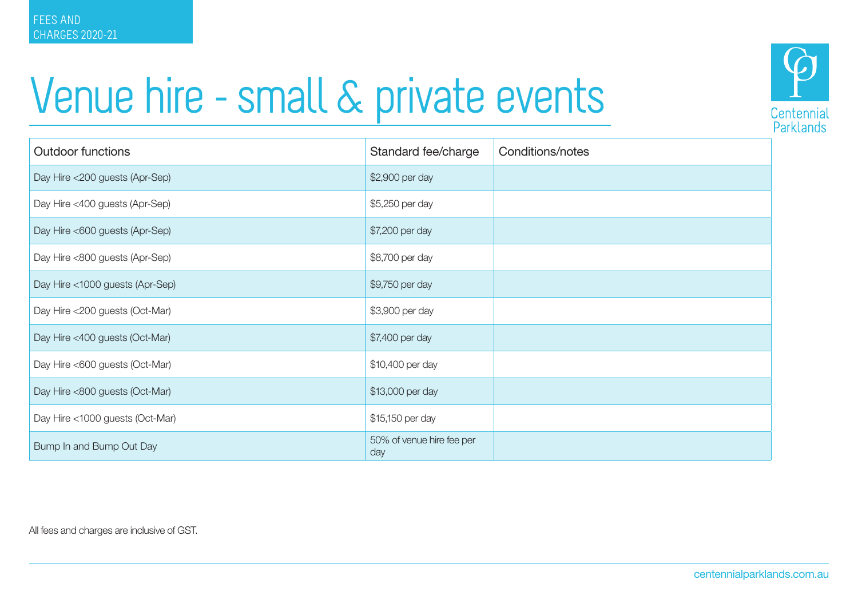



| <b>Outdoor functions</b>        | Standard fee/charge              | Conditions/notes |
|---------------------------------|----------------------------------|------------------|
| Day Hire <200 guests (Apr-Sep)  | \$2,900 per day                  |                  |
| Day Hire <400 guests (Apr-Sep)  | \$5,250 per day                  |                  |
| Day Hire <600 guests (Apr-Sep)  | \$7,200 per day                  |                  |
| Day Hire <800 guests (Apr-Sep)  | \$8,700 per day                  |                  |
| Day Hire <1000 guests (Apr-Sep) | \$9,750 per day                  |                  |
| Day Hire <200 guests (Oct-Mar)  | \$3,900 per day                  |                  |
| Day Hire <400 guests (Oct-Mar)  | \$7,400 per day                  |                  |
| Day Hire <600 guests (Oct-Mar)  | \$10,400 per day                 |                  |
| Day Hire <800 guests (Oct-Mar)  | \$13,000 per day                 |                  |
| Day Hire <1000 guests (Oct-Mar) | \$15,150 per day                 |                  |
| Bump In and Bump Out Day        | 50% of venue hire fee per<br>day |                  |

All fees and charges are inclusive of GST.